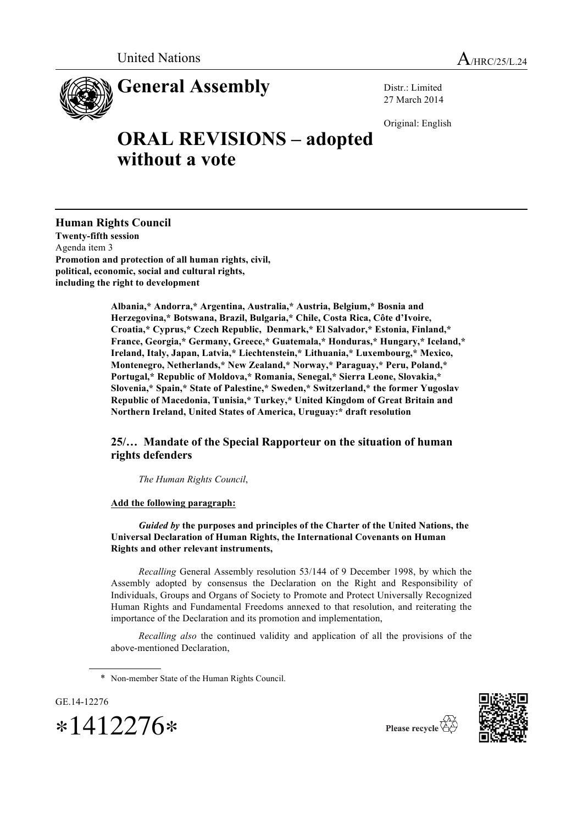

Distr.: Limited 27 March 2014

Original: English

## **ORAL REVISIONS – adopted without a vote**

**Human Rights Council Twenty-fifth session** Agenda item 3 **Promotion and protection of all human rights, civil, political, economic, social and cultural rights, including the right to development**

> **Albania,\* Andorra,\* Argentina, Australia,\* Austria, Belgium,\* Bosnia and Herzegovina,\* Botswana, Brazil, Bulgaria,\* Chile, Costa Rica, Côte d'Ivoire, Croatia,\* Cyprus,\* Czech Republic, Denmark,\* El Salvador,\* Estonia, Finland,\* France, Georgia,\* Germany, Greece,\* Guatemala,\* Honduras,\* Hungary,\* Iceland,\* Ireland, Italy, Japan, Latvia,\* Liechtenstein,\* Lithuania,\* Luxembourg,\* Mexico, Montenegro, Netherlands,\* New Zealand,\* Norway,\* Paraguay,\* Peru, Poland,\* Portugal,\* Republic of Moldova,\* Romania, Senegal,\* Sierra Leone, Slovakia,\* Slovenia,\* Spain,\* State of Palestine,\* Sweden,\* Switzerland,\* the former Yugoslav Republic of Macedonia, Tunisia,\* Turkey,\* United Kingdom of Great Britain and Northern Ireland, United States of America, Uruguay:\* draft resolution**

## **25/… Mandate of the Special Rapporteur on the situation of human rights defenders**

*The Human Rights Council*,

**Add the following paragraph:**

*Guided by* **the purposes and principles of the Charter of the United Nations, the Universal Declaration of Human Rights, the International Covenants on Human Rights and other relevant instruments,**

*Recalling* General Assembly resolution 53/144 of 9 December 1998, by which the Assembly adopted by consensus the Declaration on the Right and Responsibility of Individuals, Groups and Organs of Society to Promote and Protect Universally Recognized Human Rights and Fundamental Freedoms annexed to that resolution, and reiterating the importance of the Declaration and its promotion and implementation,

*Recalling also* the continued validity and application of all the provisions of the above-mentioned Declaration,

\* Non-member State of the Human Rights Council.





Please recycle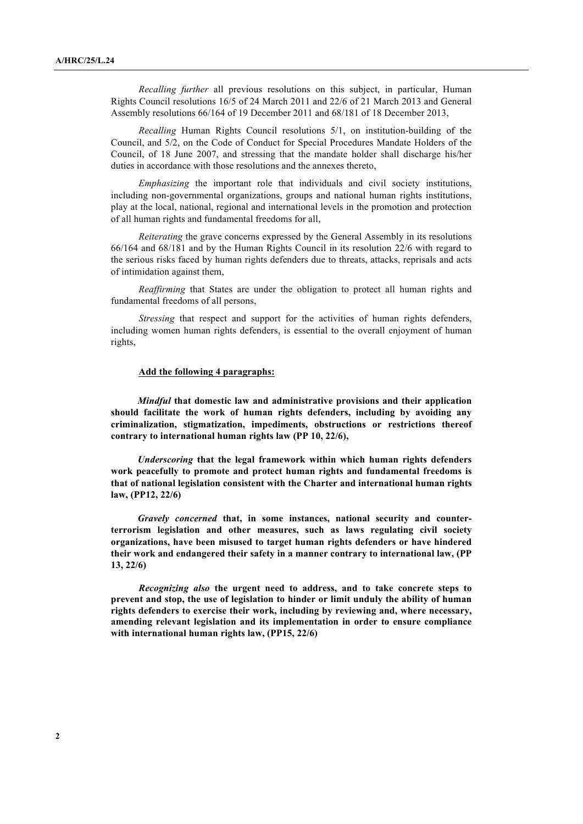*Recalling further* all previous resolutions on this subject, in particular, Human Rights Council resolutions 16/5 of 24 March 2011 and 22/6 of 21 March 2013 and General Assembly resolutions 66/164 of 19 December 2011 and 68/181 of 18 December 2013,

*Recalling* Human Rights Council resolutions 5/1, on institution-building of the Council, and 5/2, on the Code of Conduct for Special Procedures Mandate Holders of the Council, of 18 June 2007, and stressing that the mandate holder shall discharge his/her duties in accordance with those resolutions and the annexes thereto,

*Emphasizing* the important role that individuals and civil society institutions, including non-governmental organizations, groups and national human rights institutions, play at the local, national, regional and international levels in the promotion and protection of all human rights and fundamental freedoms for all,

*Reiterating* the grave concerns expressed by the General Assembly in its resolutions 66/164 and 68/181 and by the Human Rights Council in its resolution 22/6 with regard to the serious risks faced by human rights defenders due to threats, attacks, reprisals and acts of intimidation against them,

*Reaffirming* that States are under the obligation to protect all human rights and fundamental freedoms of all persons,

*Stressing* that respect and support for the activities of human rights defenders, including women human rights defenders, is essential to the overall enjoyment of human rights,

## **Add the following 4 paragraphs:**

*Mindful* **that domestic law and administrative provisions and their application should facilitate the work of human rights defenders, including by avoiding any criminalization, stigmatization, impediments, obstructions or restrictions thereof contrary to international human rights law (PP 10, 22/6),**

*Underscoring* **that the legal framework within which human rights defenders work peacefully to promote and protect human rights and fundamental freedoms is that of national legislation consistent with the Charter and international human rights law, (PP12, 22/6)**

*Gravely concerned* **that, in some instances, national security and counterterrorism legislation and other measures, such as laws regulating civil society organizations, have been misused to target human rights defenders or have hindered their work and endangered their safety in a manner contrary to international law, (PP 13, 22/6)**

*Recognizing also* **the urgent need to address, and to take concrete steps to prevent and stop, the use of legislation to hinder or limit unduly the ability of human rights defenders to exercise their work, including by reviewing and, where necessary, amending relevant legislation and its implementation in order to ensure compliance with international human rights law, (PP15, 22/6)**